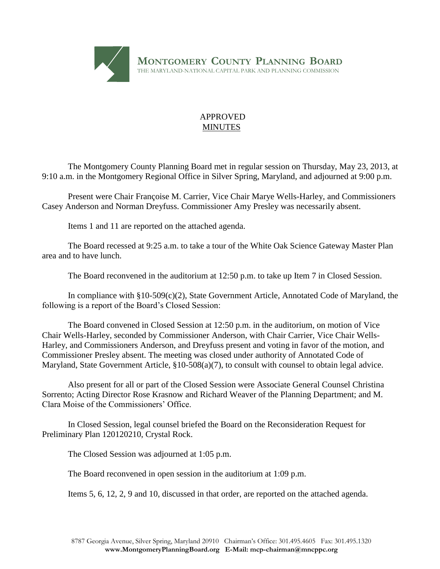

## APPROVED MINUTES

The Montgomery County Planning Board met in regular session on Thursday, May 23, 2013, at 9:10 a.m. in the Montgomery Regional Office in Silver Spring, Maryland, and adjourned at 9:00 p.m.

Present were Chair Françoise M. Carrier, Vice Chair Marye Wells-Harley, and Commissioners Casey Anderson and Norman Dreyfuss. Commissioner Amy Presley was necessarily absent.

Items 1 and 11 are reported on the attached agenda.

The Board recessed at 9:25 a.m. to take a tour of the White Oak Science Gateway Master Plan area and to have lunch.

The Board reconvened in the auditorium at 12:50 p.m. to take up Item 7 in Closed Session.

In compliance with §10-509(c)(2), State Government Article, Annotated Code of Maryland, the following is a report of the Board's Closed Session:

The Board convened in Closed Session at 12:50 p.m. in the auditorium, on motion of Vice Chair Wells-Harley, seconded by Commissioner Anderson, with Chair Carrier, Vice Chair Wells-Harley, and Commissioners Anderson, and Dreyfuss present and voting in favor of the motion, and Commissioner Presley absent. The meeting was closed under authority of Annotated Code of Maryland, State Government Article, §10-508(a)(7), to consult with counsel to obtain legal advice.

Also present for all or part of the Closed Session were Associate General Counsel Christina Sorrento; Acting Director Rose Krasnow and Richard Weaver of the Planning Department; and M. Clara Moise of the Commissioners' Office.

In Closed Session, legal counsel briefed the Board on the Reconsideration Request for Preliminary Plan 120120210, Crystal Rock.

The Closed Session was adjourned at 1:05 p.m.

The Board reconvened in open session in the auditorium at 1:09 p.m.

Items 5, 6, 12, 2, 9 and 10, discussed in that order, are reported on the attached agenda.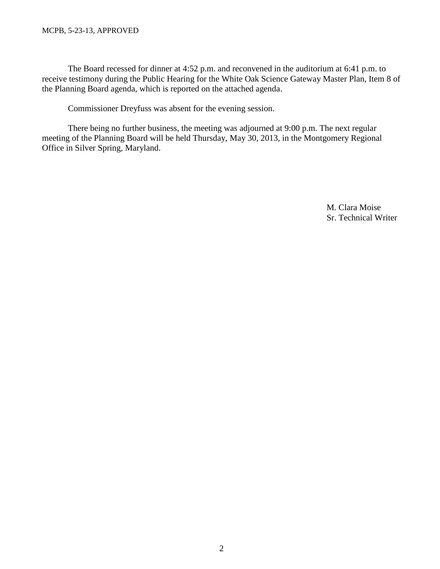## MCPB, 5-23-13, APPROVED

The Board recessed for dinner at 4:52 p.m. and reconvened in the auditorium at 6:41 p.m. to receive testimony during the Public Hearing for the White Oak Science Gateway Master Plan, Item 8 of the Planning Board agenda, which is reported on the attached agenda.

Commissioner Dreyfuss was absent for the evening session.

There being no further business, the meeting was adjourned at 9:00 p.m. The next regular meeting of the Planning Board will be held Thursday, May 30, 2013, in the Montgomery Regional Office in Silver Spring, Maryland.

> M. Clara Moise Sr. Technical Writer